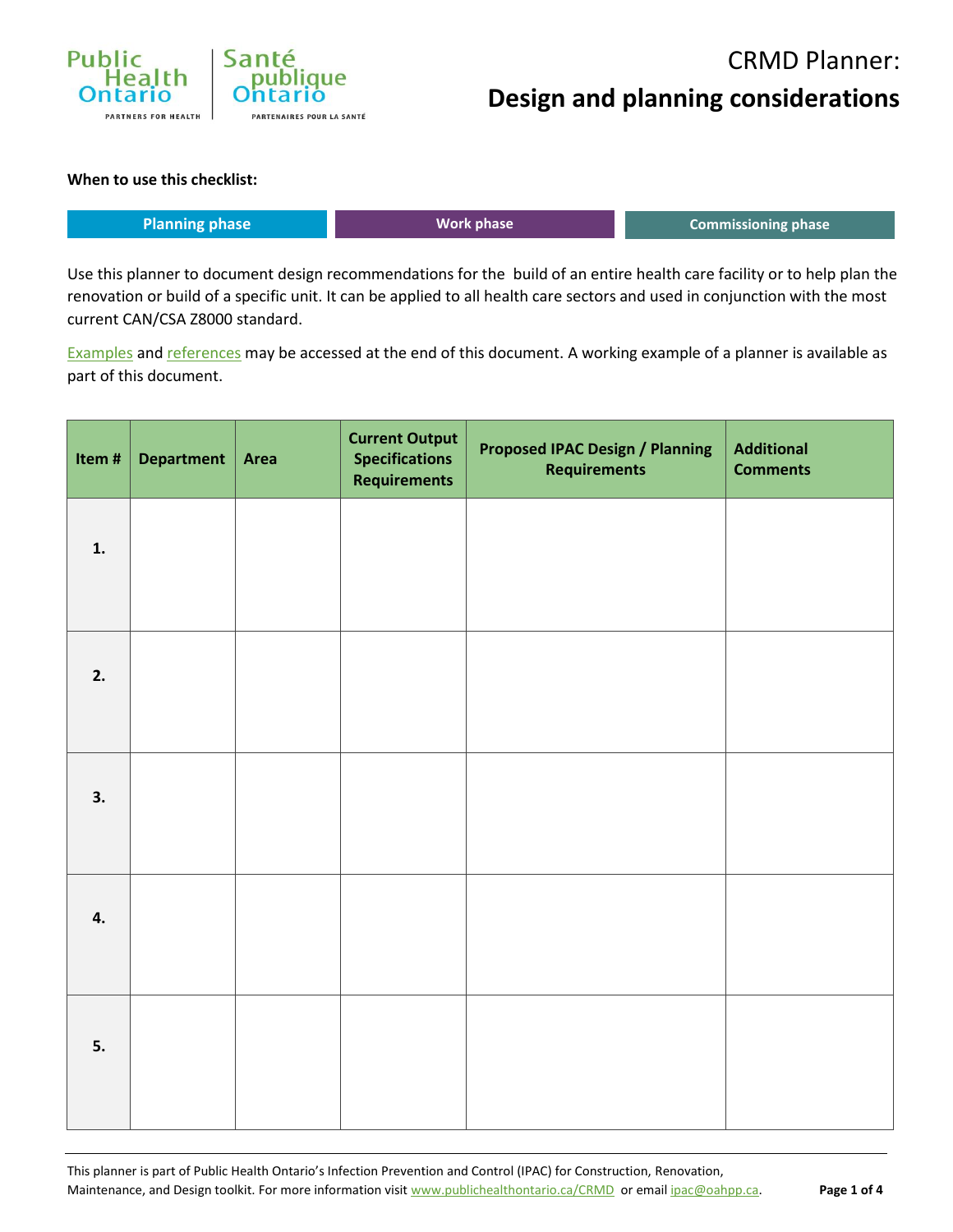

#### CRMD Planner: **Design and planning considerations**

#### **When to use this checklist:**

| Planning phase | <b>Work phase</b> | Commissioning phase |
|----------------|-------------------|---------------------|
|                |                   |                     |

Use this planner to document design recommendations for the build of an entire health care facility or to help plan the renovation or build of a specific unit. It can be applied to all health care sectors and used in conjunction with the most current CAN/CSA Z8000 standard.

[Examples](#page-2-0) and [references](#page-3-0) may be accessed at the end of this document. A working example of a planner is available as part of this document.

| Item# | Department   Area | <b>Current Output</b><br><b>Specifications</b><br><b>Requirements</b> | <b>Proposed IPAC Design / Planning</b><br><b>Requirements</b> | <b>Additional</b><br><b>Comments</b> |
|-------|-------------------|-----------------------------------------------------------------------|---------------------------------------------------------------|--------------------------------------|
| 1.    |                   |                                                                       |                                                               |                                      |
|       |                   |                                                                       |                                                               |                                      |
| 2.    |                   |                                                                       |                                                               |                                      |
| 3.    |                   |                                                                       |                                                               |                                      |
| 4.    |                   |                                                                       |                                                               |                                      |
| 5.    |                   |                                                                       |                                                               |                                      |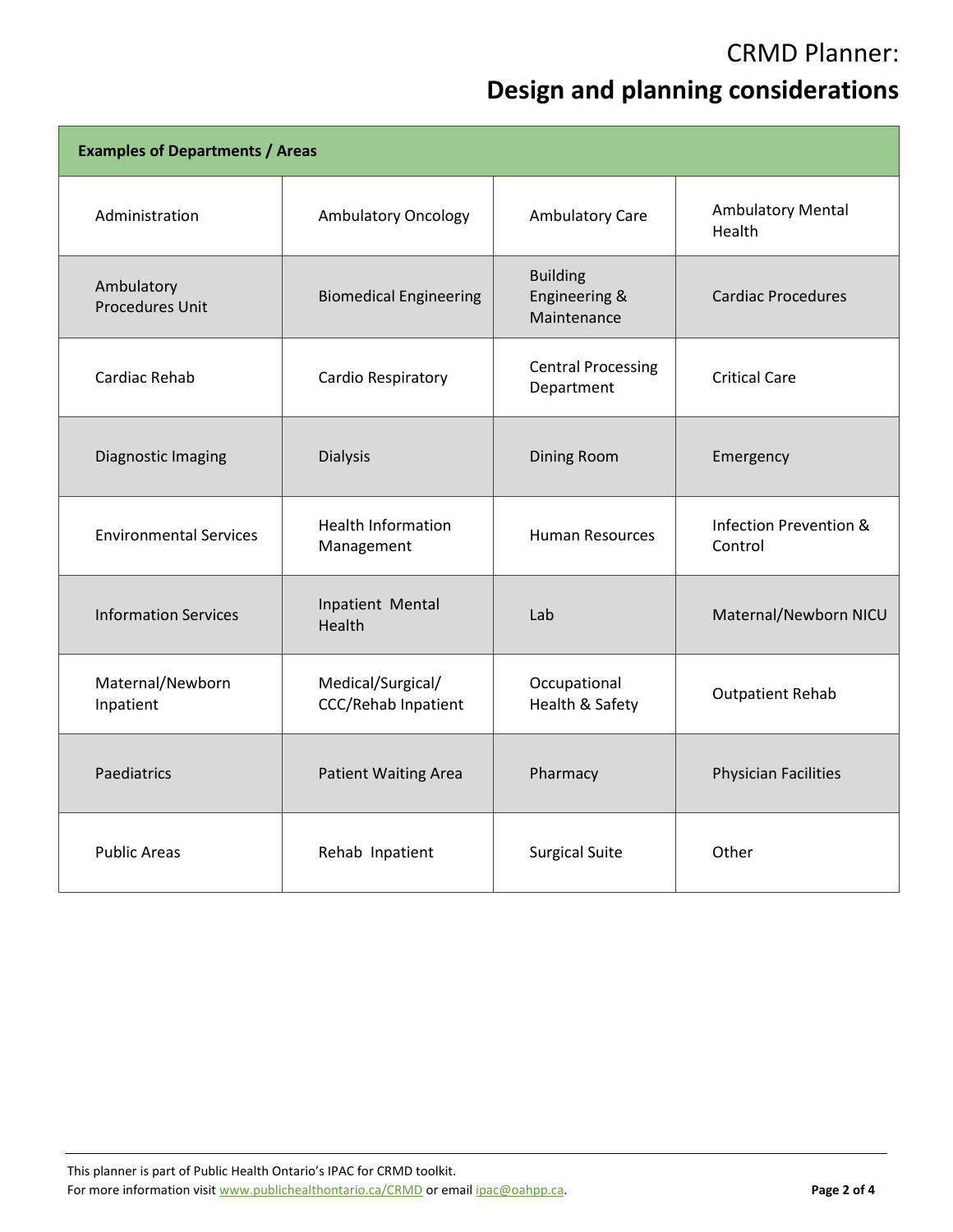#### CRMD Planner:

#### **Design and planning considerations**

| <b>Examples of Departments / Areas</b> |                                                 |                                                            |                                    |  |  |  |
|----------------------------------------|-------------------------------------------------|------------------------------------------------------------|------------------------------------|--|--|--|
| Administration                         | <b>Ambulatory Oncology</b>                      | Ambulatory Care                                            | <b>Ambulatory Mental</b><br>Health |  |  |  |
| Ambulatory<br><b>Procedures Unit</b>   | <b>Biomedical Engineering</b>                   | <b>Building</b><br>Engineering &<br>Maintenance            | <b>Cardiac Procedures</b>          |  |  |  |
| Cardiac Rehab                          | Cardio Respiratory                              | <b>Central Processing</b><br>Department                    | <b>Critical Care</b>               |  |  |  |
| Diagnostic Imaging                     | <b>Dialysis</b>                                 | Dining Room                                                | Emergency                          |  |  |  |
| <b>Environmental Services</b>          | <b>Health Information</b><br>Management         | <b>Human Resources</b>                                     | Infection Prevention &<br>Control  |  |  |  |
| <b>Information Services</b>            | Inpatient Mental<br>Health                      | Lab                                                        | Maternal/Newborn NICU              |  |  |  |
| Maternal/Newborn<br>Inpatient          | Medical/Surgical/<br><b>CCC/Rehab Inpatient</b> | Occupational<br><b>Outpatient Rehab</b><br>Health & Safety |                                    |  |  |  |
| Paediatrics                            | <b>Patient Waiting Area</b>                     | Pharmacy                                                   | Physician Facilities               |  |  |  |
| <b>Public Areas</b>                    | Rehab Inpatient                                 | <b>Surgical Suite</b>                                      | Other                              |  |  |  |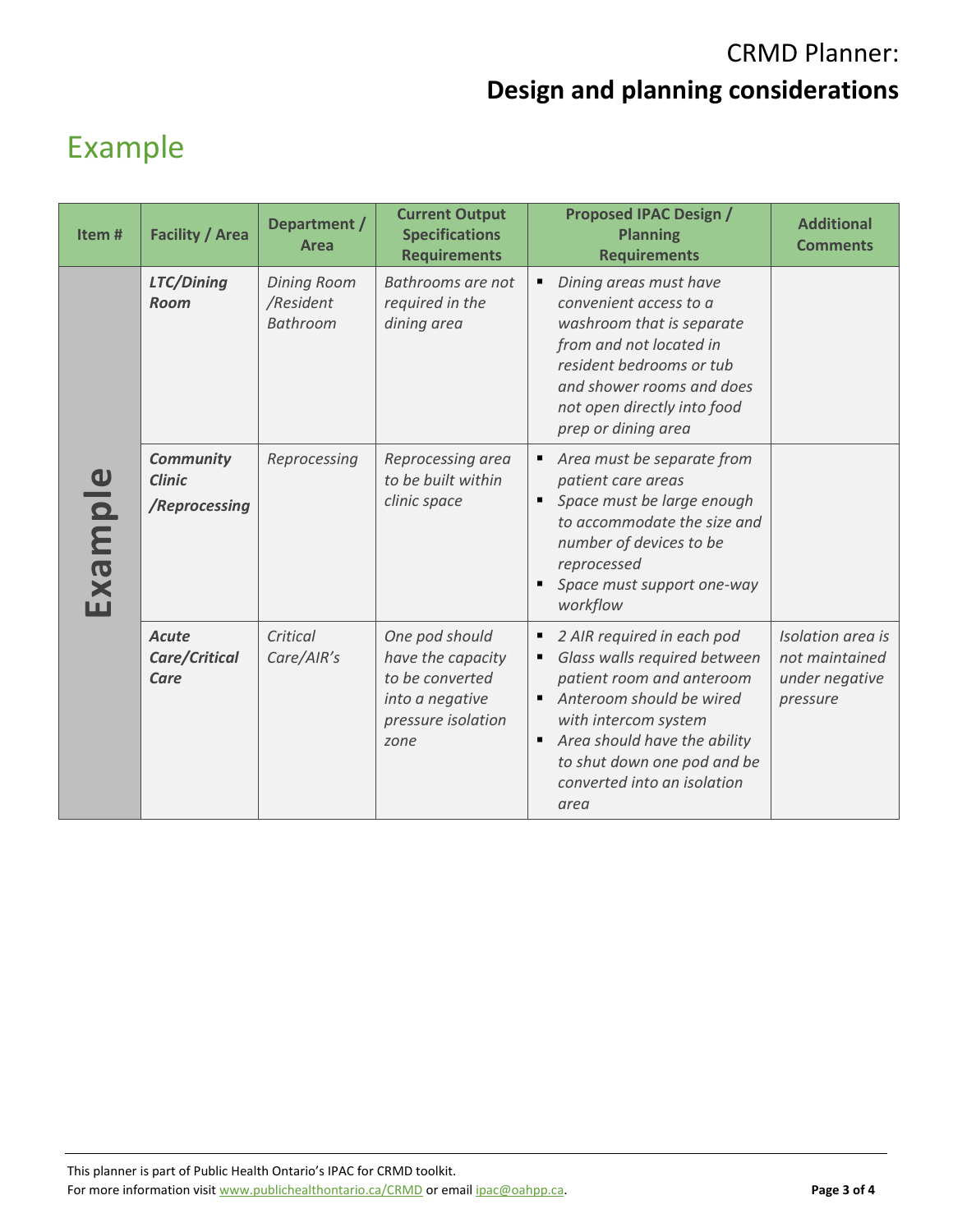## CRMD Planner: **Design and planning considerations**

# <span id="page-2-0"></span>Example

| Item#   | <b>Facility / Area</b>                             | Department /<br>Area                        | <b>Current Output</b><br><b>Specifications</b><br><b>Requirements</b>                                   | <b>Proposed IPAC Design /</b><br><b>Planning</b><br><b>Requirements</b>                                                                                                                                                                                          | <b>Additional</b><br><b>Comments</b>                              |
|---------|----------------------------------------------------|---------------------------------------------|---------------------------------------------------------------------------------------------------------|------------------------------------------------------------------------------------------------------------------------------------------------------------------------------------------------------------------------------------------------------------------|-------------------------------------------------------------------|
| Example | LTC/Dining<br><b>Room</b>                          | <b>Dining Room</b><br>/Resident<br>Bathroom | Bathrooms are not<br>required in the<br>dining area                                                     | Dining areas must have<br>٠<br>convenient access to a<br>washroom that is separate<br>from and not located in<br>resident bedrooms or tub<br>and shower rooms and does<br>not open directly into food<br>prep or dining area                                     |                                                                   |
|         | <b>Community</b><br><b>Clinic</b><br>/Reprocessing | Reprocessing                                | Reprocessing area<br>to be built within<br>clinic space                                                 | Area must be separate from<br>٠<br>patient care areas<br>Space must be large enough<br>п<br>to accommodate the size and<br>number of devices to be<br>reprocessed<br>Space must support one-way<br>$\blacksquare$<br>workflow                                    |                                                                   |
|         | <b>Acute</b><br>Care/Critical<br>Care              | Critical<br>Care/AIR's                      | One pod should<br>have the capacity<br>to be converted<br>into a negative<br>pressure isolation<br>zone | 2 AIR required in each pod<br>п<br>Glass walls required between<br>٠<br>patient room and anteroom<br>Anteroom should be wired<br>with intercom system<br>Area should have the ability<br>٠<br>to shut down one pod and be<br>converted into an isolation<br>area | Isolation area is<br>not maintained<br>under negative<br>pressure |